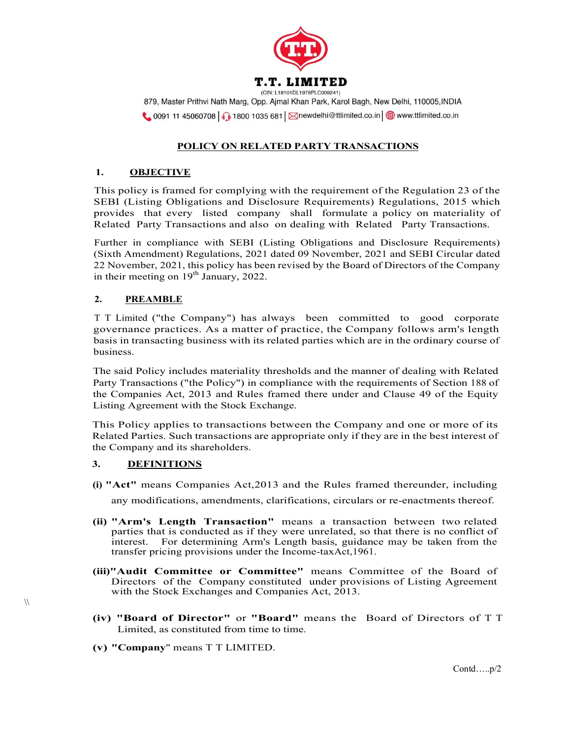

879, Master Prithvi Nath Marg, Opp. Ajmal Khan Park, Karol Bagh, New Delhi, 110005, INDIA  $\bigcirc$  0091 11 45060708 1 1800 1035 681  $\boxtimes$ newdelhi@ttlimited.co.in  $\bigcirc$  www.ttlimited.co.in

# POLICY ON RELATED PARTY TRANSACTIONS

# 1. OBJECTIVE

This policy is framed for complying with the requirement of the Regulation 23 of the SEBI (Listing Obligations and Disclosure Requirements) Regulations, 2015 which provides that every listed company shall formulate a policy on materiality of Related Party Transactions and also on dealing with Related Party Transactions.

Further in compliance with SEBI (Listing Obligations and Disclosure Requirements) (Sixth Amendment) Regulations, 2021 dated 09 November, 2021 and SEBI Circular dated 22 November, 2021, this policy has been revised by the Board of Directors of the Company in their meeting on  $19<sup>th</sup>$  January, 2022.

# 2. PREAMBLE

T T Limited ("the Company") has always been committed to good corporate governance practices. As a matter of practice, the Company follows arm's length basis in transacting business with its related parties which are in the ordinary course of business.

The said Policy includes materiality thresholds and the manner of dealing with Related Party Transactions ("the Policy") in compliance with the requirements of Section 188 of the Companies Act, 2013 and Rules framed there under and Clause 49 of the Equity Listing Agreement with the Stock Exchange.

This Policy applies to transactions between the Company and one or more of its Related Parties. Such transactions are appropriate only if they are in the best interest of the Company and its shareholders.

# 3. DEFINITIONS

 $\mathcal{N}$ 

- (i) "Act" means Companies Act,2013 and the Rules framed thereunder, including any modifications, amendments, clarifications, circulars or re-enactments thereof.
- (ii) "Arm's Length Transaction" means a transaction between two related parties that is conducted as if they were unrelated, so that there is no conflict of interest. For determining Arm's Length basis, guidance may be taken from the transfer pricing provisions under the Income-taxAct,1961.
- (iii)"Audit Committee or Committee" means Committee of the Board of Directors of the Company constituted under provisions of Listing Agreement with the Stock Exchanges and Companies Act, 2013.
- (iv) "Board of Director" or "Board" means the Board of Directors of T T Limited, as constituted from time to time.
- (v) "Company" means T T LIMITED.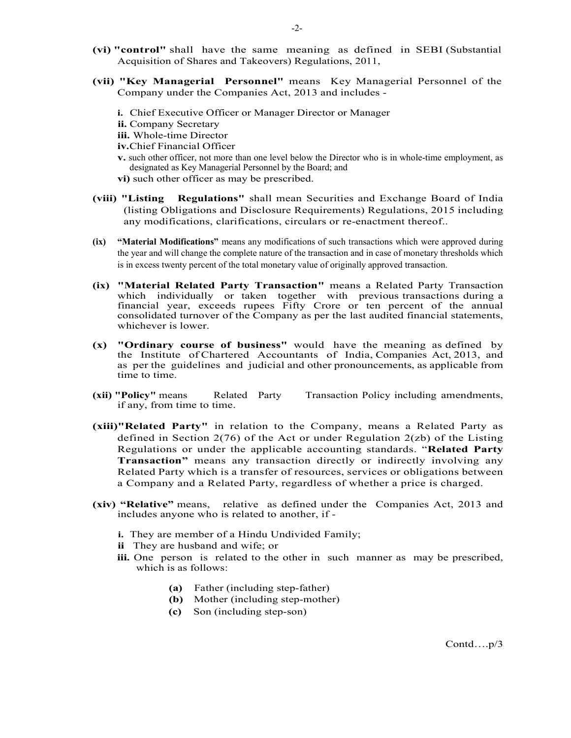- (vi) "control" shall have the same meaning as defined in SEBI (Substantial Acquisition of Shares and Takeovers) Regulations, 2011,
- (vii) "Key Managerial Personnel" means Key Managerial Personnel of the Company under the Companies Act, 2013 and includes
	- i. Chief Executive Officer or Manager Director or Manager ii. Company Secretary iii. Whole-time Director
	- iv.Chief Financial Officer
	- v. such other officer, not more than one level below the Director who is in whole-time employment, as designated as Key Managerial Personnel by the Board; and
	- vi) such other officer as may be prescribed.
- (viii) "Listing Regulations" shall mean Securities and Exchange Board of India (listing Obligations and Disclosure Requirements) Regulations, 2015 including any modifications, clarifications, circulars or re-enactment thereof..
- (ix) "Material Modifications" means any modifications of such transactions which were approved during the year and will change the complete nature of the transaction and in case of monetary thresholds which is in excess twenty percent of the total monetary value of originally approved transaction.
- (ix) "Material Related Party Transaction" means a Related Party Transaction which individually or taken together with previous transactions during a financial year, exceeds rupees Fifty Crore or ten percent of the annual consolidated turnover of the Company as per the last audited financial statements, whichever is lower.
- (x) "Ordinary course of business" would have the meaning as defined by the Institute of Chartered Accountants of India, Companies Act, 2013, and as per the guidelines and judicial and other pronouncements, as applicable from time to time.
- (xii) "Policy" means Related Party Transaction Policy including amendments, if any, from time to time.
- (xiii)"Related Party" in relation to the Company, means a Related Party as defined in Section 2(76) of the Act or under Regulation 2(zb) of the Listing Regulations or under the applicable accounting standards. "Related Party Transaction" means any transaction directly or indirectly involving any Related Party which is a transfer of resources, services or obligations between a Company and a Related Party, regardless of whether a price is charged.
- (xiv) "Relative" means, relative as defined under the Companies Act, 2013 and includes anyone who is related to another, if
	- i. They are member of a Hindu Undivided Family;
	- ii They are husband and wife; or
	- iii. One person is related to the other in such manner as may be prescribed, which is as follows:
		- (a) Father (including step-father)
		- (b) Mother (including step-mother)
		- (c) Son (including step-son)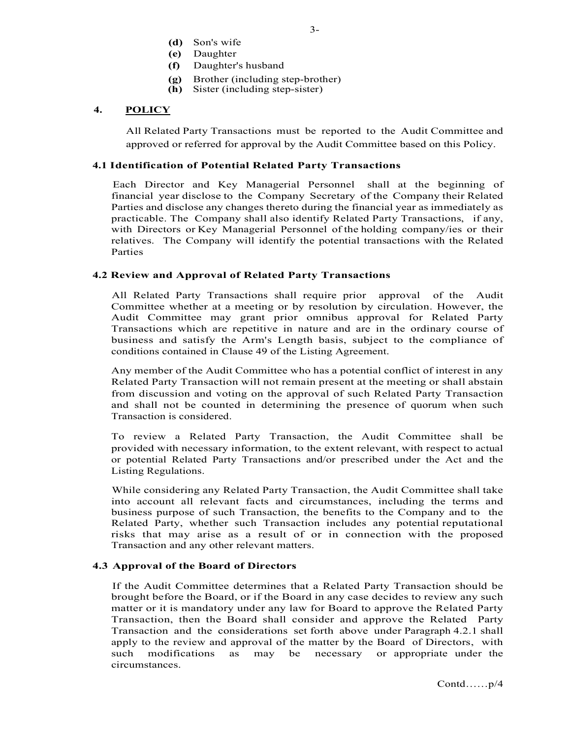- (d) Son's wife
- (e) Daughter
- (f) Daughter's husband
- (g) Brother (including step-brother)
- (h) Sister (including step-sister)

# 4. POLICY

All Related Party Transactions must be reported to the Audit Committee and approved or referred for approval by the Audit Committee based on this Policy.

#### 4.1 Identification of Potential Related Party Transactions

Each Director and Key Managerial Personnel shall at the beginning of financial year disclose to the Company Secretary of the Company their Related Parties and disclose any changes thereto during the financial year as immediately as practicable. The Company shall also identify Related Party Transactions, if any, with Directors or Key Managerial Personnel of the holding company/ies or their relatives. The Company will identify the potential transactions with the Related Parties

#### 4.2 Review and Approval of Related Party Transactions

All Related Party Transactions shall require prior approval of the Audit Committee whether at a meeting or by resolution by circulation. However, the Audit Committee may grant prior omnibus approval for Related Party Transactions which are repetitive in nature and are in the ordinary course of business and satisfy the Arm's Length basis, subject to the compliance of conditions contained in Clause 49 of the Listing Agreement.

Any member of the Audit Committee who has a potential conflict of interest in any Related Party Transaction will not remain present at the meeting or shall abstain from discussion and voting on the approval of such Related Party Transaction and shall not be counted in determining the presence of quorum when such Transaction is considered.

To review a Related Party Transaction, the Audit Committee shall be provided with necessary information, to the extent relevant, with respect to actual or potential Related Party Transactions and/or prescribed under the Act and the Listing Regulations.

While considering any Related Party Transaction, the Audit Committee shall take into account all relevant facts and circumstances, including the terms and business purpose of such Transaction, the benefits to the Company and to the Related Party, whether such Transaction includes any potential reputational risks that may arise as a result of or in connection with the proposed Transaction and any other relevant matters.

# 4.3 Approval of the Board of Directors

If the Audit Committee determines that a Related Party Transaction should be brought before the Board, or if the Board in any case decides to review any such matter or it is mandatory under any law for Board to approve the Related Party Transaction, then the Board shall consider and approve the Related Party Transaction and the considerations set forth above under Paragraph 4.2.1 shall apply to the review and approval of the matter by the Board of Directors, with such modifications as may be necessary or appropriate under the circumstances.